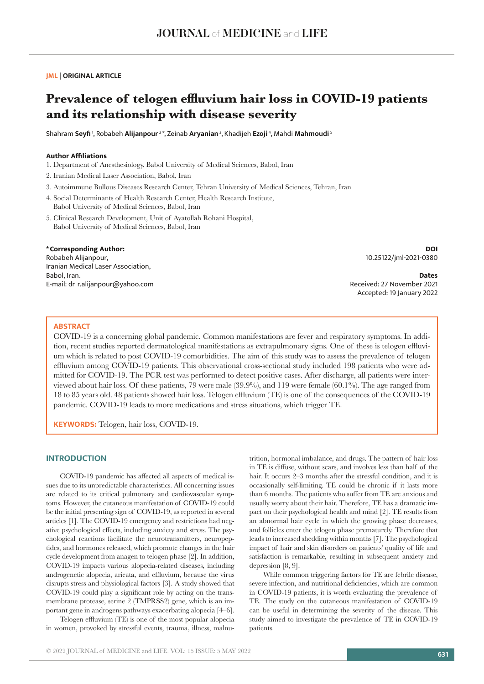# **JML | ORIGINAL ARTICLE**

# **Prevalence of telogen effluvium hair loss in COVID-19 patients and its relationship with disease severity**

Shahram **Seyfi** 1, Robabeh **Alijanpour** 2 \*, Zeinab **Aryanian** 3, Khadijeh **Ezoji** 4, Mahdi **Mahmoudi**<sup>5</sup>

# **Author Affiliations**

- 1. Department of Anesthesiology, Babol University of Medical Sciences, Babol, Iran
- 2. Iranian Medical Laser Association, Babol, Iran
- 3. Autoimmune Bullous Diseases Research Center, Tehran University of Medical Sciences, Tehran, Iran
- 4. Social Determinants of Health Research Center, Health Research Institute, Babol University of Medical Sciences, Babol, Iran
- 5. Clinical Research Development, Unit of Ayatollah Rohani Hospital, Babol University of Medical Sciences, Babol, Iran

# **\*Corresponding Author:**

Robabeh Alijanpour, Iranian Medical Laser Association, Babol, Iran. E-mail: dr\_r.alijanpour@yahoo.com

**DOI** 10.25122/jml-2021-0380

**Dates** Received: 27 November 2021 Accepted: 19 January 2022

## **ABSTRACT**

COVID-19 is a concerning global pandemic. Common manifestations are fever and respiratory symptoms. In addition, recent studies reported dermatological manifestations as extrapulmonary signs. One of these is telogen effluvium which is related to post COVID-19 comorbidities. The aim of this study was to assess the prevalence of telogen effluvium among COVID-19 patients. This observational cross-sectional study included 198 patients who were admitted for COVID-19. The PCR test was performed to detect positive cases. After discharge, all patients were interviewed about hair loss. Of these patients, 79 were male (39.9%), and 119 were female (60.1%). The age ranged from 18 to 85 years old. 48 patients showed hair loss. Telogen effluvium (TE) is one of the consequences of the COVID-19 pandemic. COVID-19 leads to more medications and stress situations, which trigger TE.

**KEYWORDS:** Telogen, hair loss, COVID-19.

# **INTRODUCTION**

COVID-19 pandemic has affected all aspects of medical issues due to its unpredictable characteristics. All concerning issues are related to its critical pulmonary and cardiovascular symptoms. However, the cutaneous manifestation of COVID-19 could be the initial presenting sign of COVID-19, as reported in several articles [1]. The COVID-19 emergency and restrictions had negative psychological effects, including anxiety and stress. The psychological reactions facilitate the neurotransmitters, neuropeptides, and hormones released, which promote changes in the hair cycle development from anagen to telogen phase [2]. In addition, COVID-19 impacts various alopecia-related diseases, including androgenetic alopecia, arieata, and effluvium, because the virus disrupts stress and physiological factors [3]. A study showed that COVID-19 could play a significant role by acting on the transmembrane protease, serine 2 (TMPRSS2) gene, which is an important gene in androgens pathways exacerbating alopecia [4–6].

Telogen effluvium (TE) is one of the most popular alopecia in women, provoked by stressful events, trauma, illness, malnutrition, hormonal imbalance, and drugs. The pattern of hair loss in TE is diffuse, without scars, and involves less than half of the hair. It occurs 2–3 months after the stressful condition, and it is occasionally self-limiting. TE could be chronic if it lasts more than 6 months. The patients who suffer from TE are anxious and usually worry about their hair. Therefore, TE has a dramatic impact on their psychological health and mind [2]. TE results from an abnormal hair cycle in which the growing phase decreases, and follicles enter the telogen phase prematurely. Therefore that leads to increased shedding within months [7]. The psychological impact of hair and skin disorders on patients' quality of life and satisfaction is remarkable, resulting in subsequent anxiety and depression [8, 9].

While common triggering factors for TE are febrile disease, severe infection, and nutritional deficiencies, which are common in COVID-19 patients, it is worth evaluating the prevalence of TE. The study on the cutaneous manifestation of COVID-19 can be useful in determining the severity of the disease. This study aimed to investigate the prevalence of TE in COVID-19 patients.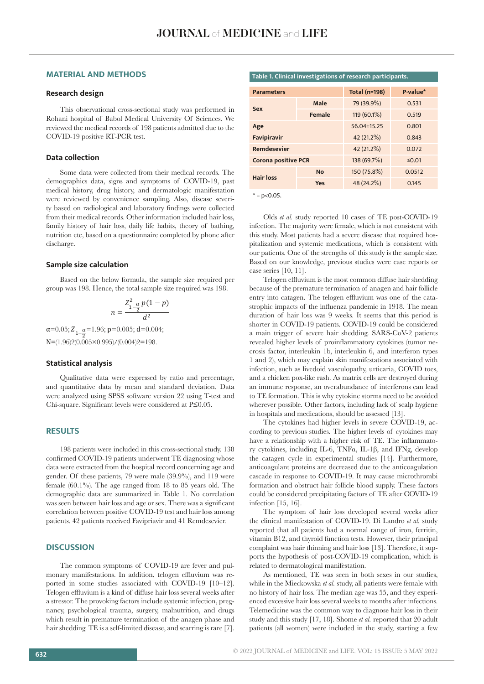# **MATERIAL AND METHODS**

# **Research design**

This observational cross-sectional study was performed in Rohani hospital of Babol Medical University Of Sciences. We reviewed the medical records of 198 patients admitted due to the COVID-19 positive RT-PCR test.

## **Data collection**

Some data were collected from their medical records. The demographics data, signs and symptoms of COVID-19, past medical history, drug history, and dermatologic manifestation were reviewed by convenience sampling. Also, disease severity based on radiological and laboratory findings were collected from their medical records. Other information included hair loss, family history of hair loss, daily life habits, theory of bathing, nutrition etc, based on a questionnaire completed by phone after discharge.

#### **Sample size calculation**

Based on the below formula, the sample size required per group was 198. Hence, the total sample size required was  $198$ .

$$
n = \frac{Z_{1-\frac{\alpha}{2}}^2 p(1-p)}{d^2}
$$

 $\alpha=0.05; Z_{1-\frac{\alpha}{2}}=1.96; p=0.005; d=0.004;$ N=(1.96)2(0.005×0.995)/(0.004)2=198.  $Z_{1-\frac{\alpha}{2}}$ 

#### **Statistical analysis**

Qualitative data were expressed by ratio and percentage, and quantitative data by mean and standard deviation. Data were analyzed using SPSS software version 22 using T-test and Chi-square. Significant levels were considered at P≤0.05.

# **RESULTS**

198 patients were included in this cross-sectional study. 138 confirmed COVID-19 patients underwent TE diagnosing whose data were extracted from the hospital record concerning age and gender. Of these patients, 79 were male (39.9%), and 119 were female  $(60.1\%)$ . The age ranged from 18 to 85 years old. The demographic data are summarized in Table 1. No correlation was seen between hair loss and age or sex. There was a significant correlation between positive COVID-19 test and hair loss among patients. 42 patients received Favipriavir and 41 Remdesevier.

# **DISCUSSION**

The common symptoms of COVID-19 are fever and pulmonary manifestations. In addition, telogen effluvium was reported in some studies associated with COVID-19 [10–12]. Telogen effluvium is a kind of diffuse hair loss several weeks after a stressor. The provoking factors include systemic infection, pregnancy, psychological trauma, surgery, malnutrition, and drugs which result in premature termination of the anagen phase and hair shedding. TE is a self-limited disease, and scarring is rare [7].

# **Table 1. Clinical investigations of research participants.**

| <b>Parameters</b>          |               | <b>Total (n=198)</b> | P-value* |
|----------------------------|---------------|----------------------|----------|
| Sex                        | Male          | 79 (39.9%)           | 0.531    |
|                            | <b>Female</b> | 119 (60.1%)          | 0.519    |
| Age                        |               | 56.04+15.25          | 0.801    |
| <b>Favipiravir</b>         |               | 42 (21.2%)           | 0.843    |
| <b>Remdesevier</b>         |               | 42 (21.2%)           | 0.072    |
| <b>Corona positive PCR</b> |               | 138 (69.7%)          | ≤ $0.01$ |
| <b>Hair loss</b>           | <b>No</b>     | 150 (75.8%)          | 0.0512   |
|                            | Yes           | 48 (24.2%)           | 0.145    |

 $* - p < 0.05$ .

Olds *et al.* study reported 10 cases of TE post-COVID-19 infection. The majority were female, which is not consistent with this study. Most patients had a severe disease that required hospitalization and systemic medications, which is consistent with our patients. One of the strengths of this study is the sample size. Based on our knowledge, previous studies were case reports or case series [10, 11].

Telogen effluvium is the most common diffuse hair shedding because of the premature termination of anagen and hair follicle entry into catagen. The telogen effluvium was one of the catastrophic impacts of the influenza pandemic in 1918. The mean duration of hair loss was 9 weeks. It seems that this period is shorter in COVID-19 patients. COVID-19 could be considered a main trigger of severe hair shedding. SARS-CoV-2 patients revealed higher levels of proinflammatory cytokines (tumor necrosis factor, interleukin 1b, interleukin 6, and interferon types 1 and 2), which may explain skin manifestations associated with infection, such as livedoid vasculopathy, urticaria, COVID toes, and a chicken pox-like rash. As matrix cells are destroyed during an immune response, an overabundance of interferons can lead to TE formation. This is why cytokine storms need to be avoided wherever possible. Other factors, including lack of scalp hygiene in hospitals and medications, should be assessed [13].

The cytokines had higher levels in severe COVID-19, according to previous studies. The higher levels of cytokines may have a relationship with a higher risk of TE. The inflammatory cytokines, including IL-6, TNFα, IL-1β, and IFNg, develop the catagen cycle in experimental studies [14]. Furthermore, anticoagulant proteins are decreased due to the anticoagulation cascade in response to COVID-19. It may cause microthrombi formation and obstruct hair follicle blood supply. These factors could be considered precipitating factors of TE after COVID-19 infection [15, 16].

The symptom of hair loss developed several weeks after the clinical manifestation of COVID-19. Di Landro *et al.* study reported that all patients had a normal range of iron, ferritin, vitamin B12, and thyroid function tests. However, their principal complaint was hair thinning and hair loss [13]. Therefore, it supports the hypothesis of post-COVID-19 complication, which is related to dermatological manifestation.

As mentioned, TE was seen in both sexes in our studies, while in the Mieckowska *et al.* study, all patients were female with no history of hair loss. The median age was 55, and they experienced excessive hair loss several weeks to months after infections. Telemedicine was the common way to diagnose hair loss in their study and this study [17, 18]. Shome *et al.* reported that 20 adult patients (all women) were included in the study, starting a few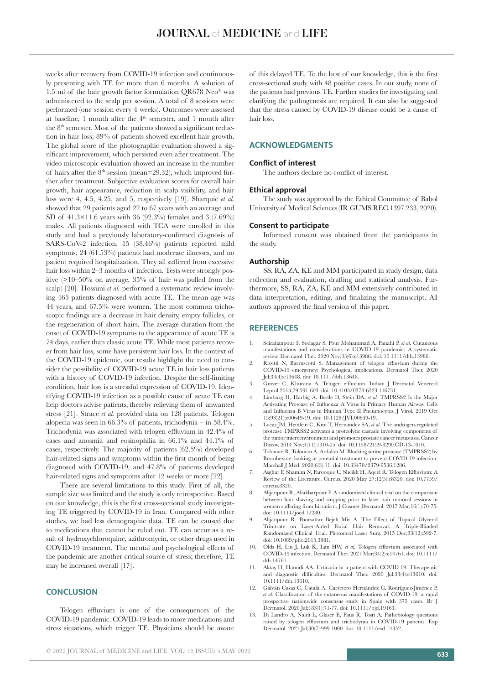weeks after recovery from COVID-19 infection and continuously presenting with TE for more than 6 months. A solution of 1.5 ml of the hair growth factor formulation QR678 Neo® was administered to the scalp per session. A total of 8 sessions were performed (one session every 4 weeks). Outcomes were assessed at baseline, 1 month after the 4<sup>th</sup> semester, and 1 month after the 8<sup>th</sup> semester. Most of the patients showed a significant reduction in hair loss; 89% of patients showed excellent hair growth. The global score of the photographic evaluation showed a significant improvement, which persisted even after treatment. The video microscopic evaluation showed an increase in the number of hairs after the  $8<sup>th</sup>$  session (mean=29.32), which improved further after treatment. Subjective evaluation scores for overall hair growth, hair appearance, reduction in scalp visibility, and hair loss were 4, 4.5, 4.25, and 5, respectively [19]. Sharquie *et al.* showed that 29 patients aged 22 to 67 years with an average and SD of 41.3×11.6 years with 36 (92.3%) females and 3 (7.69%) males. All patients diagnosed with TCA were enrolled in this study and had a previously laboratory-confirmed diagnosis of SARS-CoV-2 infection. 15 (38.46%) patients reported mild symptoms, 24 (61.53%) patients had moderate illnesses, and no patient required hospitalization. They all suffered from excessive hair loss within 2–3 months of infection. Tests were strongly positive (>10–50% on average, 35% of hair was pulled from the scalp) [20]. Hossuni *et al.* performed a systematic review involving 465 patients diagnosed with acute TE. The mean age was 44 years, and 67.5% were women. The most common trichoscopic findings are a decrease in hair density, empty follicles, or the regeneration of short hairs. The average duration from the onset of COVID-19 symptoms to the appearance of acute TE is 74 days, earlier than classic acute TE. While most patients recover from hair loss, some have persistent hair loss. In the context of the COVID-19 epidemic, our results highlight the need to consider the possibility of COVID-19 acute TE in hair loss patients with a history of COVID-19 infection. Despite the self-limiting condition, hair loss is a stressful expression of COVID-19. Identifying COVID-19 infection as a possible cause of acute TE can help doctors advise patients, thereby relieving them of unwanted stress [21]. Strace *et al.* provided data on 128 patients. Telogen alopecia was seen in  $66.3\%$  of patients, trichodynia – in  $58.4\%$ . Trichodynia was associated with telogen effluvium in 42.4% of cases and anosmia and eosinophilia in 66.1% and 44.1% of cases, respectively. The majority of patients (62.5%) developed hair-related signs and symptoms within the first month of being diagnosed with COVID-19, and 47.8% of patients developed hair-related signs and symptoms after 12 weeks or more [22].

There are several limitations to this study. First of all, the sample size was limited and the study is only retrospective. Based on our knowledge, this is the first cross-sectional study investigating TE triggered by COVID-19 in Iran. Compared with other studies, we had less demographic data. TE can be caused due to medications that cannot be ruled out. TE can occur as a result of hydroxychloroquine, azithromycin, or other drugs used in COVID-19 treatment. The mental and psychological effects of the pandemic are another critical source of stress; therefore, TE may be increased overall [17].

## **CONCLUSION**

Telogen effluvium is one of the consequences of the COVID-19 pandemic. COVID-19 leads to more medications and stress situations, which trigger TE. Physicians should be aware of this delayed TE. To the best of our knowledge, this is the first cross-sectional study with 48 positive cases. In our study, none of the patients had previous TE. Further studies for investigating and clarifying the pathogenesis are required. It can also be suggested that the stress caused by COVID-19 disease could be a cause of hair loss.

## **ACKNOWLEDGMENTS**

#### **Conflict of interest**

The authors declare no conflict of interest.

# **Ethical approval**

The study was approved by the Ethical Committee of Babol University of Medical Sciences (IR.GUMS.REC.1397.233, 2020).

#### **Consent to participate**

Informed consent was obtained from the participants in the study.

## **Authorship**

SS, RA, ZA, KE and MM participated in study design, data collection and evaluation, drafting and statistical analysis. Furthermore, SS, RA, ZA, KE and MM extensively contributed in data interpretation, editing, and finalizing the manuscript. All authors approved the final version of this paper.

## **REFERENCES**

- 1. Seirafianpour F, Sodagar S, Pour Mohammad A, Panahi P, *et al.* Cutaneous manifestations and considerations in COVID-19 pandemic: A systematic review. Dermatol Ther. 2020 Nov;33(6):e13986. doi: 10.1111/dth.13986.
- 2. Rivetti N, Barruscotti S. Management of telogen effluvium during the COVID-19 emergency: Psychological implications. Dermatol Ther. 2020 Jul;33(4):e13648. doi: 10.1111/dth.13648.
- 3. Grover C, Khurana A. Telogen effluvium. Indian J Dermatol Venereol Leprol 2013;79:591-603. doi: 10.4103/0378-6323.116731.
- 4. Limburg H, Harbig A, Bestle D, Stein DA, *et al.* TMPRSS2 Is the Major Activating Protease of Influenza A Virus in Primary Human Airway Cells and Influenza B Virus in Human Type II Pneumocytes. J Virol. 2019 Oct 15;93(21):e00649-19. doi: 10.1128/JVI.00649-19.
- 5. Lucas JM, Heinlein C, Kim T, Hernandez SA, *et al.* The androgen-regulated protease TMPRSS2 activates a proteolytic cascade involving components of the tumor microenvironment and promotes prostate cancer metastasis. Cancer Discov. 2014 Nov;4(11):1310-25. doi: 10.1158/2159-8290.CD-13-1010.
- 6. Tolouian R, Tolouian A, Ardalan M. Blocking serine protease (TMPRSS2) by Bromhexine; looking at potential treatment to prevent COVID-19 infection. Marshall J Med. 2020;6(3):11. doi: 10.33470/2379-9536.1286.
- 7. Asghar F, Shamim N, Farooque U, Sheikh H, Aqeel R. Telogen Effluvium: A Review of the Literature. Cureus. 2020 May 27;12(5):e8320. doi: 10.7759/ cureus.8320.
- 8. Alijanpour R, Aliakbarpour F. A randomized clinical trial on the comparison between hair shaving and snipping prior to laser hair removal sessions in women suffering from hirsutism. J Cosmet Dermatol. 2017 Mar;16(1):70-75. doi: 10.1111/jocd.12280.
- 9. Alijanpour R, Poorsattar Bejeh Mir A. The Effect of Topical Glycerol Trinitrate on Laser-Aided Facial Hair Removal: A Triple-Blinded Randomized Clinical Trial. Photomed Laser Surg. 2015 Dec;33(12):592-7. doi: 10.1089/pho.2015.3881.
- 10. Olds H, Liu J, Luk K, Lim HW, *et al.* Telogen effluvium associated with COVID-19 infection. Dermatol Ther. 2021 Mar;34(2):e14761. doi: 10.1111/ dth.14761.
- 11. Aktaş H, Hamidi AA. Urticaria in a patient with COVID-19: Therapeutic and diagnostic difficulties. Dermatol Ther. 2020 Jul;33(4):e13610. doi: 10.1111/dth.13610.
- 12. Galván Casas C, Català A, Carretero Hernández G, Rodríguez-Jiménez P, *et al.* Classification of the cutaneous manifestations of COVID-19: a rapid prospective nationwide consensus study in Spain with 375 cases. Br J Dermatol. 2020 Jul;183(1):71-77. doi: 10.1111/bjd.19163.
- 13. Di Landro A, Naldi L, Glaser E, Paus R, Tosti A. Pathobiology questions raised by telogen effluvium and trichodynia in COVID-19 patients. Exp Dermatol. 2021 Jul;30(7):999-1000. doi: 10.1111/exd.14352.